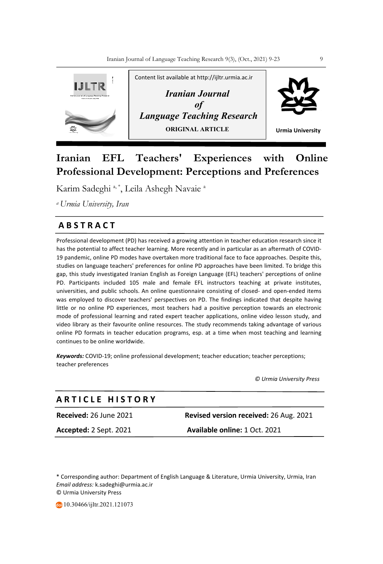

# **Iranian EFL Teachers' Experiences with Online Professional Development: Perceptions and Preferences**

Karim Sadeghi<sup>a, \*</sup>, Leila Ashegh Navaie<sup>a</sup>

*a Urmia University, Iran*

# **A B S T R A C T**

Professional development (PD) has received a growing attention in teacher education research since it has the potential to affect teacher learning. More recently and in particular as an aftermath of COVID-19 pandemic, online PD modes have overtaken more traditional face to face approaches. Despite this, studies on language teachers' preferences for online PD approaches have been limited. To bridge this gap, this study investigated Iranian English as Foreign Language (EFL) teachers' perceptions of online PD. Participants included 105 male and female EFL instructors teaching at private institutes, universities, and public schools. An online questionnaire consisting of closed- and open-ended items was employed to discover teachers' perspectives on PD. The findings indicated that despite having little or no online PD experiences, most teachers had a positive perception towards an electronic mode of professional learning and rated expert teacher applications, online video lesson study, and video library as their favourite online resources. The study recommends taking advantage of various online PD formats in teacher education programs, esp. at a time when most teaching and learning continues to be online worldwide.

*Keywords:* COVID-19; online professional development; teacher education; teacher perceptions; teacher preferences

 *© Urmia University Press*

| ARTICLE HISTORY               |                                               |
|-------------------------------|-----------------------------------------------|
| <b>Received:</b> 26 June 2021 | <b>Revised version received: 26 Aug. 2021</b> |
| <b>Accepted:</b> 2 Sept. 2021 | Available online: 1 Oct. 2021                 |

\* Corresponding author: Department of English Language & Literature, Urmia University, Urmia, Iran *Email address:* k.sadeghi@urmia.ac.ir © Urmia University Press

10.30466/ijltr.2021.121073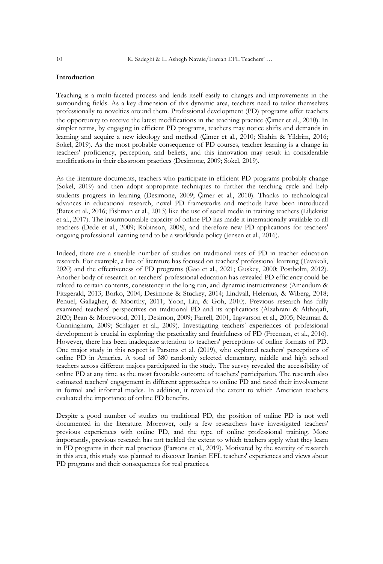# **Introduction**

Teaching is a multi-faceted process and lends itself easily to changes and improvements in the surrounding fields. As a key dimension of this dynamic area, teachers need to tailor themselves professionally to novelties around them. Professional development (PD) programs offer teachers the opportunity to receive the latest modifications in the teaching practice (Cimer et al., 2010). In simpler terms, by engaging in efficient PD programs, teachers may notice shifts and demands in learning and acquire a new ideology and method (Ҫimer et al., 2010; Shahin & Yildrim, 2016; Sokel, 2019). As the most probable consequence of PD courses, teacher learning is a change in teachers' proficiency, perception, and beliefs, and this innovation may result in considerable modifications in their classroom practices (Desimone, 2009; Sokel, 2019).

As the literature documents, teachers who participate in efficient PD programs probably change (Sokel, 2019) and then adopt appropriate techniques to further the teaching cycle and help students progress in learning (Desimone, 2009; Çimer et al., 2010). Thanks to technological advances in educational research, novel PD frameworks and methods have been introduced (Bates et al., 2016; Fishman et al., 2013) like the use of social media in training teachers (Liljekvist et al., 2017). The insurmountable capacity of online PD has made it internationally available to all teachers (Dede et al., 2009; Robinson, 2008), and therefore new PD applications for teachers' ongoing professional learning tend to be a worldwide policy (Jensen et al., 2016).

Indeed, there are a sizeable number of studies on traditional uses of PD in teacher education research. For example, a line of literature has focused on teachers' professional learning (Tavakoli, 2020) and the effectiveness of PD programs (Gao et al., 2021; Guskey, 2000; Postholm, 2012). Another body of research on teachers' professional education has revealed PD efficiency could be related to certain contents, consistency in the long run, and dynamic instructiveness (Amendum & Fitzgerald, 2013; Borko, 2004; Desimone & Stuckey, 2014; Lindvall, Helenius, & Wiberg, 2018; Penuel, Gallagher, & Moorthy, 2011; Yoon, Liu, & Goh, 2010). Previous research has fully examined teachers' perspectives on traditional PD and its applications (Alzahrani & Althaqafi, 2020; Bean & Morewood, 2011; Desimon, 2009; Farrell, 2001; Ingvarson et al., 2005; Neuman & Cunningham, 2009; Schlager et al., 2009). Investigating teachers' experiences of professional development is crucial in exploring the practicality and fruitfulness of PD (Freeman, et al., 2016). However, there has been inadequate attention to teachers' perceptions of online formats of PD. One major study in this respect is Parsons et al. (2019), who explored teachers' perceptions of online PD in America. A total of 380 randomly selected elementary, middle and high school teachers across different majors participated in the study. The survey revealed the accessibility of online PD at any time as the most favorable outcome of teachers' participation. The research also estimated teachers' engagement in different approaches to online PD and rated their involvement in formal and informal modes. In addition, it revealed the extent to which American teachers evaluated the importance of online PD benefits.

Despite a good number of studies on traditional PD, the position of online PD is not well documented in the literature. Moreover, only a few researchers have investigated teachers' previous experiences with online PD, and the type of online professional training. More importantly, previous research has not tackled the extent to which teachers apply what they learn in PD programs in their real practices (Parsons et al., 2019). Motivated by the scarcity of research in this area, this study was planned to discover Iranian EFL teachers' experiences and views about PD programs and their consequences for real practices.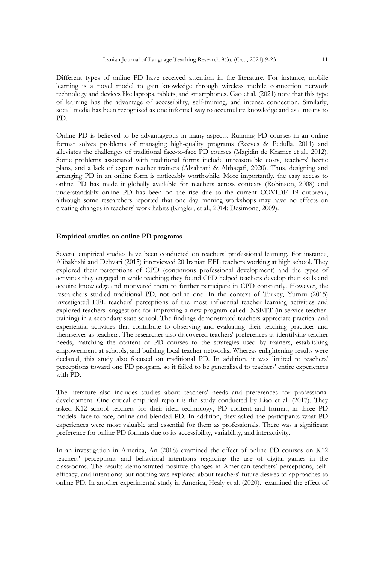Different types of online PD have received attention in the literature. For instance, mobile learning is a novel model to gain knowledge through wireless mobile connection network technology and devices like laptops, tablets, and smartphones. Gao et al. (2021) note that this type of learning has the advantage of accessibility, self-training, and intense connection. Similarly, social media has been recognised as one informal way to accumulate knowledge and as a means to PD.

Online PD is believed to be advantageous in many aspects. Running PD courses in an online format solves problems of managing high-quality programs (Reeves & Pedulla, 2011) and alleviates the challenges of traditional face-to-face PD courses (Magidin de Kramer et al., 2012). Some problems associated with traditional forms include unreasonable costs, teachers' hectic plans, and a lack of expert teacher trainers (Alzahrani & Althaqafi, 2020). Thus, designing and arranging PD in an online form is noticeably worthwhile. More importantly, the easy access to online PD has made it globally available for teachers across contexts (Robinson, 2008) and understandably online PD has been on the rise due to the current COVIDE 19 outbreak, although some researchers reported that one day running workshops may have no effects on creating changes in teachers' work habits (Kragler, et al., 2014; Desimone, 2009).

# **Empirical studies on online PD programs**

Several empirical studies have been conducted on teachers' professional learning. For instance, Alibakhshi and Dehvari (2015) interviewed 20 Iranian EFL teachers working at high school. They explored their perceptions of CPD (continuous professional development) and the types of activities they engaged in while teaching; they found CPD helped teachers develop their skills and acquire knowledge and motivated them to further participate in CPD constantly. However, the researchers studied traditional PD, not online one. In the context of Turkey, Yumru (2015) investigated EFL teachers' perceptions of the most influential teacher learning activities and explored teachers' suggestions for improving a new program called INSETT (in-service teachertraining) in a secondary state school. The findings demonstrated teachers appreciate practical and experiential activities that contribute to observing and evaluating their teaching practices and themselves as teachers. The researcher also discovered teachers' preferences as identifying teacher needs, matching the content of PD courses to the strategies used by trainers, establishing empowerment at schools, and building local teacher networks. Whereas enlightening results were declared, this study also focused on traditional PD. In addition, it was limited to teachers' perceptions toward one PD program, so it failed to be generalized to teachers' entire experiences with PD.

The literature also includes studies about teachers' needs and preferences for professional development. One critical empirical report is the study conducted by Liao et al. (2017). They asked K12 school teachers for their ideal technology, PD content and format, in three PD models: face-to-face, online and blended PD. In addition, they asked the participants what PD experiences were most valuable and essential for them as professionals. There was a significant preference for online PD formats due to its accessibility, variability, and interactivity.

In an investigation in America, An (2018) examined the effect of online PD courses on K12 teachers' perceptions and behavioral intentions regarding the use of digital games in the classrooms. The results demonstrated positive changes in American teachers' perceptions, selfefficacy, and intentions; but nothing was explored about teachers' future desires to approaches to online PD. In another experimental study in America, Healy et al. (2020). examined the effect of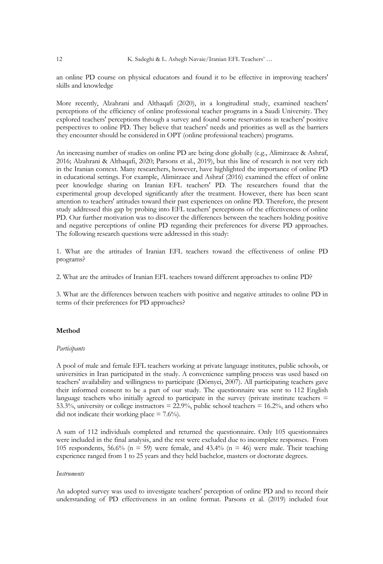an online PD course on physical educators and found it to be effective in improving teachers' skills and knowledge

More recently, Alzahrani and Althaqafi (2020), in a longitudinal study, examined teachers' perceptions of the efficiency of online professional teacher programs in a Saudi University. They explored teachers' perceptions through a survey and found some reservations in teachers' positive perspectives to online PD. They believe that teachers' needs and priorities as well as the barriers they encounter should be considered in OPT (online professional teachers) programs.

An increasing number of studies on online PD are being done globally (e.g., Alimirzaee & Ashraf, 2016; Alzahrani & Althaqafi, 2020; Parsons et al., 2019), but this line of research is not very rich in the Iranian context. Many researchers, however, have highlighted the importance of online PD in educational settings. For example, Alimirzaee and Ashraf (2016) examined the effect of online peer knowledge sharing on Iranian EFL teachers' PD. The researchers found that the experimental group developed significantly after the treatment. However, there has been scant attention to teachers' attitudes toward their past experiences on online PD. Therefore, the present study addressed this gap by probing into EFL teachers' perceptions of the effectiveness of online PD. Our further motivation was to discover the differences between the teachers holding positive and negative perceptions of online PD regarding their preferences for diverse PD approaches. The following research questions were addressed in this study:

1. What are the attitudes of Iranian EFL teachers toward the effectiveness of online PD programs?

2. What are the attitudes of Iranian EFL teachers toward different approaches to online PD?

3. What are the differences between teachers with positive and negative attitudes to online PD in terms of their preferences for PD approaches?

# **Method**

# *Participants*

A pool of male and female EFL teachers working at private language institutes, public schools, or universities in Iran participated in the study. A convenience sampling process was used based on teachers' availability and willingness to participate (Dörnyei, 2007). All participating teachers gave their informed consent to be a part of our study. The questionnaire was sent to 112 English language teachers who initially agreed to participate in the survey (private institute teachers  $=$ 53.3%, university or college instructors = 22.9%, public school teachers = 16.2%, and others who did not indicate their working place  $= 7.6\%$ .

A sum of 112 individuals completed and returned the questionnaire. Only 105 questionnaires were included in the final analysis, and the rest were excluded due to incomplete responses. From 105 respondents, 56.6% ( $n = 59$ ) were female, and 43.4% ( $n = 46$ ) were male. Their teaching experience ranged from 1 to 25 years and they held bachelor, masters or doctorate degrees.

#### *Instruments*

An adopted survey was used to investigate teachers' perception of online PD and to record their understanding of PD effectiveness in an online format. Parsons et al. (2019) included four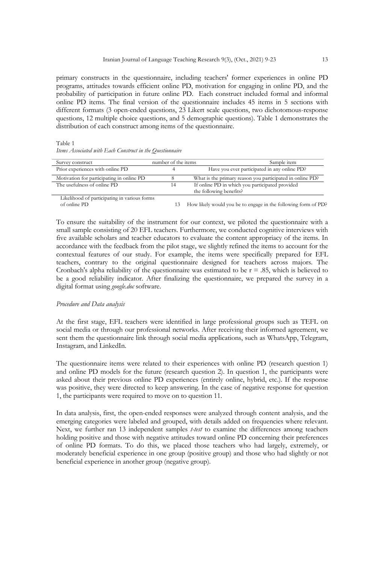primary constructs in the questionnaire, including teachers' former experiences in online PD programs, attitudes towards efficient online PD, motivation for engaging in online PD, and the probability of participation in future online PD. Each construct included formal and informal online PD items. The final version of the questionnaire includes 45 items in 5 sections with different formats (3 open-ended questions, 23 Likert scale questions, two dichotomous-response questions, 12 multiple choice questions, and 5 demographic questions). Table 1 demonstrates the distribution of each construct among items of the questionnaire.

Table 1 *Items Associated with Each Construct in the Questionnaire* 

| Survey construct                                  | number of the items | Sample item                                                                |
|---------------------------------------------------|---------------------|----------------------------------------------------------------------------|
| Prior experiences with online PD                  |                     | Have you ever participated in any online PD?                               |
| Motivation for participating in online PD         |                     | What is the primary reason you participated in online PD?                  |
| The usefulness of online PD                       |                     | If online PD in which you participated provided<br>the following benefits? |
| τ Mooth ou d'oβacadologia citata academic βosso o |                     |                                                                            |

 Likelihood of participating in various forms 13 How likely would you be to engage in the following form of PD?

To ensure the suitability of the instrument for our context, we piloted the questionnaire with a small sample consisting of 20 EFL teachers. Furthermore, we conducted cognitive interviews with five available scholars and teacher educators to evaluate the content appropriacy of the items. In accordance with the feedback from the pilot stage, we slightly refined the items to account for the contextual features of our study. For example, the items were specifically prepared for EFL teachers, contrary to the original questionnaire designed for teachers across majors. The Cronbach's alpha reliability of the questionnaire was estimated to be  $r = .85$ , which is believed to be a good reliability indicator. After finalizing the questionnaire, we prepared the survey in a digital format using *google.doc* software.

#### *Procedure and Data analysis*

At the first stage, EFL teachers were identified in large professional groups such as TEFL on social media or through our professional networks. After receiving their informed agreement, we sent them the questionnaire link through social media applications, such as WhatsApp, Telegram, Instagram, and LinkedIn.

The questionnaire items were related to their experiences with online PD (research question 1) and online PD models for the future (research question 2). In question 1, the participants were asked about their previous online PD experiences (entirely online, hybrid, etc.). If the response was positive, they were directed to keep answering. In the case of negative response for question 1, the participants were required to move on to question 11.

In data analysis, first, the open-ended responses were analyzed through content analysis, and the emerging categories were labeled and grouped, with details added on frequencies where relevant. Next, we further ran 13 independent samples *t-test* to examine the differences among teachers holding positive and those with negative attitudes toward online PD concerning their preferences of online PD formats. To do this, we placed those teachers who had largely, extremely, or moderately beneficial experience in one group (positive group) and those who had slightly or not beneficial experience in another group (negative group).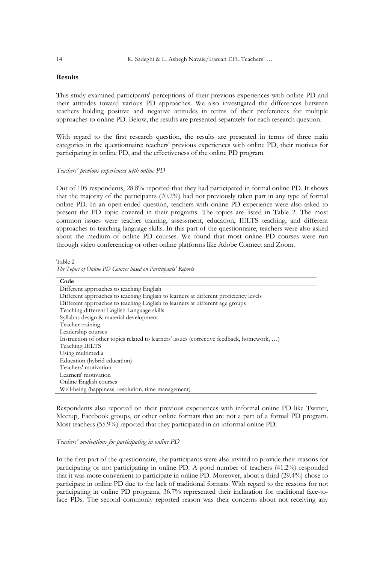# **Results**

This study examined participants' perceptions of their previous experiences with online PD and their attitudes toward various PD approaches. We also investigated the differences between teachers holding positive and negative attitudes in terms of their preferences for multiple approaches to online PD. Below, the results are presented separately for each research question.

With regard to the first research question, the results are presented in terms of three main categories in the questionnaire: teachers' previous experiences with online PD, their motives for participating in online PD, and the effectiveness of the online PD program.

#### *Teachers' previous experiences with online PD*

Out of 105 respondents, 28.8% reported that they had participated in formal online PD. It shows that the majority of the participants (70.2%) had not previously taken part in any type of formal online PD. In an open-ended question, teachers with online PD experience were also asked to present the PD topic covered in their programs. The topics are listed in Table 2. The most common issues were teacher training, assessment, education, IELTS teaching, and different approaches to teaching language skills. In this part of the questionnaire, teachers were also asked about the medium of online PD courses. We found that most online PD courses were run through video conferencing or other online platforms like Adobe Connect and Zoom.

Table 2 *The Topics of Online PD Courses based on Participants' Reports* 

| Code                                                                                      |
|-------------------------------------------------------------------------------------------|
| Different approaches to teaching English                                                  |
| Different approaches to teaching English to learners at different proficiency levels      |
| Different approaches to teaching English to learners at different age groups              |
| Teaching different English Language skills                                                |
| Syllabus design & material development                                                    |
| Teacher training                                                                          |
| Leadership courses                                                                        |
| Instruction of other topics related to learners' issues (corrective feedback, homework, ) |
| Teaching IELTS                                                                            |
| Using multimedia                                                                          |
| Education (hybrid education)                                                              |
| Teachers' motivation                                                                      |
| Learners' motivation                                                                      |
| Online English courses                                                                    |
| Well-being (happiness, resolution, time management)                                       |

Respondents also reported on their previous experiences with informal online PD like Twitter, Meetup, Facebook groups, or other online formats that are not a part of a formal PD program. Most teachers (55.9%) reported that they participated in an informal online PD.

#### *Teachers' motivations for participating in online PD*

In the first part of the questionnaire, the participants were also invited to provide their reasons for participating or not participating in online PD. A good number of teachers (41.2%) responded that it was more convenient to participate in online PD. Moreover, about a third (29.4%) chose to participate in online PD due to the lack of traditional formats. With regard to the reasons for not participating in online PD programs, 36.7% represented their inclination for traditional face-toface PDs. The second commonly reported reason was their concerns about not receiving any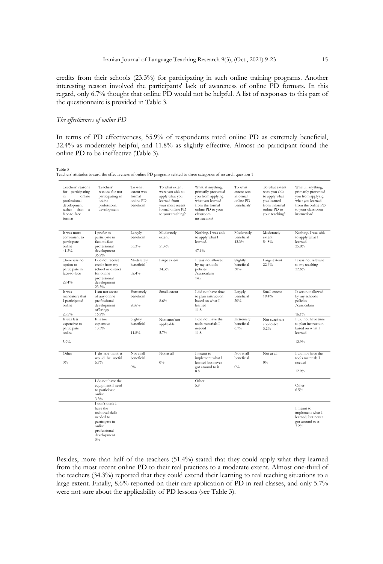credits from their schools (23.3%) for participating in such online training programs. Another interesting reason involved the participants' lack of awareness of online PD formats. In this regard, only 6.7% thought that online PD would not be helpful. A list of responses to this part of the questionnaire is provided in Table 3.

#### *The effectiveness of online PD*

In terms of PD effectiveness, 55.9% of respondents rated online PD as extremely beneficial, 32.4% as moderately helpful, and 11.8% as slightly effective. Almost no participant found the online PD to be ineffective (Table 3).

Table 3

Teachers' attitudes toward the effectiveness of online PD programs related to three categories of research question 1

| Teachers' reasons<br>for participating<br>online<br>in<br>professional<br>development<br>rather than<br>$\mathbf{a}$<br>face-to-face<br>format | Teachers'<br>reasons for not<br>participating in<br>online<br>professional<br>development                                        | To what<br>extent was<br>formal<br>online PD<br>beneficial | To what extent<br>were you able to<br>apply what you<br>learned from<br>vour most recent<br>formal online PD<br>to your teaching? | What, if anything,<br>primarily prevented<br>you from applying<br>what you learned<br>from the formal<br>online PD to your<br>classroom<br>instruction? | To what<br>extent was<br>informal<br>online PD<br>beneficial? | To what extent<br>were you able<br>to apply what<br>vou learned<br>from informal<br>online PD to<br>your teaching? | What, if anything,<br>primarily prevented<br>you from applying<br>what you learned<br>from the online PD<br>to your classroom<br>instruction? |
|------------------------------------------------------------------------------------------------------------------------------------------------|----------------------------------------------------------------------------------------------------------------------------------|------------------------------------------------------------|-----------------------------------------------------------------------------------------------------------------------------------|---------------------------------------------------------------------------------------------------------------------------------------------------------|---------------------------------------------------------------|--------------------------------------------------------------------------------------------------------------------|-----------------------------------------------------------------------------------------------------------------------------------------------|
| It was more<br>convenient to<br>participate<br>online<br>41.2%                                                                                 | I prefer to<br>participate in<br>face-to-face<br>professional<br>development<br>36.7%                                            | Largely<br>beneficial<br>35.3%                             | Moderately<br>extent<br>51.4%                                                                                                     | Nothing. I was able<br>to apply what I<br>learned.<br>47.1%                                                                                             | Moderately<br>beneficial<br>43.3%                             | Moderately<br>extent<br>54.8%                                                                                      | Nothing. I was able<br>to apply what I<br>learned.<br>25.8%                                                                                   |
| There was no<br>option to<br>participate in<br>face-to-face<br>29.4%                                                                           | I do not receive<br>credit from my<br>school or district<br>for online<br>professional<br>development<br>23.3%                   | Moderately<br>beneficial<br>32.4%                          | Large extent<br>34.3%                                                                                                             | It was not allowed<br>by my school's<br>policies<br>/curriculum<br>14.7                                                                                 | Slightly<br>beneficial<br>30%                                 | Large extent<br>22.6%                                                                                              | It was not relevant<br>to my teaching<br>22.6%                                                                                                |
| It was<br>mandatory that<br>I participated<br>online<br>23.5%                                                                                  | I am not aware<br>of any online<br>professional<br>development<br>offerings<br>16.7%                                             | Extremely<br>beneficial<br>20.6%                           | Small extent<br>8.6%                                                                                                              | I did not have time<br>to plan instruction<br>based on what I<br>learned<br>11.8                                                                        | Largely<br>beneficial<br>20%                                  | Small extent<br>19.4%                                                                                              | It was not allowed<br>by my school's<br>policies<br>/curriculum<br>16.1%                                                                      |
| It was less<br>expensive to<br>participate<br>online<br>5.9%                                                                                   | It is too<br>expensive<br>13.3%                                                                                                  | Slightly<br>beneficial<br>11.8%                            | Not sure/not<br>applicable<br>5.7%                                                                                                | I did not have the<br>tools materials I<br>needed<br>11.8                                                                                               | Extremely<br>beneficial<br>6.7%                               | Not sure/not<br>applicable<br>3.2%                                                                                 | I did not have time<br>to plan instruction<br>based on what I<br>learned<br>12.9%                                                             |
| Other<br>$0\%$                                                                                                                                 | I do not think it<br>would be useful<br>6.7%                                                                                     | Not at all<br>beneficial<br>$0\%$                          | Not at all<br>$0\%$                                                                                                               | I meant to<br>implement what I<br>learned but never<br>got around to it<br>8.8                                                                          | Not at all<br>beneficial<br>$0\%$                             | Not at all<br>$0\%$                                                                                                | I did not have the<br>tools materials I<br>needed<br>12.9%                                                                                    |
|                                                                                                                                                | I do not have the<br>equipment I need<br>to participate<br>online<br>3.3%                                                        |                                                            |                                                                                                                                   | Other<br>5.9                                                                                                                                            |                                                               |                                                                                                                    | Other<br>6.5%                                                                                                                                 |
|                                                                                                                                                | I don't think I<br>have the<br>technical skills<br>needed to<br>participate in<br>online<br>professional<br>development<br>$0\%$ |                                                            |                                                                                                                                   |                                                                                                                                                         |                                                               |                                                                                                                    | I meant to<br>implement what I<br>learned, but never<br>got around to it<br>3.2%                                                              |

Besides, more than half of the teachers (51.4%) stated that they could apply what they learned from the most recent online PD to their real practices to a moderate extent. Almost one-third of the teachers (34.3%) reported that they could extend their learning to real teaching situations to a large extent. Finally, 8.6% reported on their rare application of PD in real classes, and only 5.7% were not sure about the applicability of PD lessons (see Table 3).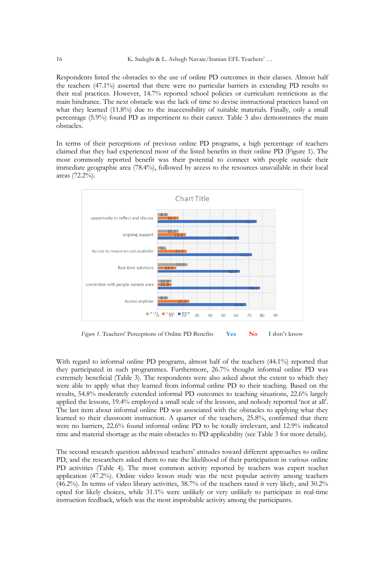Respondents listed the obstacles to the use of online PD outcomes in their classes. Almost half the teachers (47.1%) asserted that there were no particular barriers in extending PD results to their real practices. However, 14.7% reported school policies or curriculum restrictions as the main hindrance. The next obstacle was the lack of time to devise instructional practices based on what they learned (11.8%) due to the inaccessibility of suitable materials. Finally, only a small percentage (5.9%) found PD as impertinent to their career. Table 3 also demonstrates the main obstacles.

In terms of their perceptions of previous online PD programs, a high percentage of teachers claimed that they had experienced most of the listed benefits in their online PD (Figure 1). The most commonly reported benefit was their potential to connect with people outside their immediate geographic area (78.4%), followed by access to the resources unavailable in their local areas (72.2%).



*Figure 1.* Teachers' Perceptions of Online PD Benefits **Yes No I don't know**

With regard to informal online PD programs, almost half of the teachers (44.1%) reported that they participated in such programmes. Furthermore, 26.7% thought informal online PD was extremely beneficial (Table 3). The respondents were also asked about the extent to which they were able to apply what they learned from informal online PD to their teaching. Based on the results, 54.8% moderately extended informal PD outcomes to teaching situations, 22.6% largely applied the lessons, 19.4% employed a small scale of the lessons, and nobody reported 'not at all'. The last item about informal online PD was associated with the obstacles to applying what they learned to their classroom instruction. A quarter of the teachers, 25.8%, confirmed that there were no barriers, 22.6% found informal online PD to be totally irrelevant, and 12.9% indicated time and material shortage as the main obstacles to PD applicability (see Table 3 for more details).

The second research question addressed teachers' attitudes toward different approaches to online PD, and the researchers asked them to rate the likelihood of their participation in various online PD activities (Table 4). The most common activity reported by teachers was expert teacher application (47.2%). Online video lesson study was the next popular activity among teachers (46.2%). In terms of video library activities, 38.7% of the teachers rated it very likely, and 30.2% opted for likely choices, while 31.1% were unlikely or very unlikely to participate in real-time instruction feedback, which was the most improbable activity among the participants.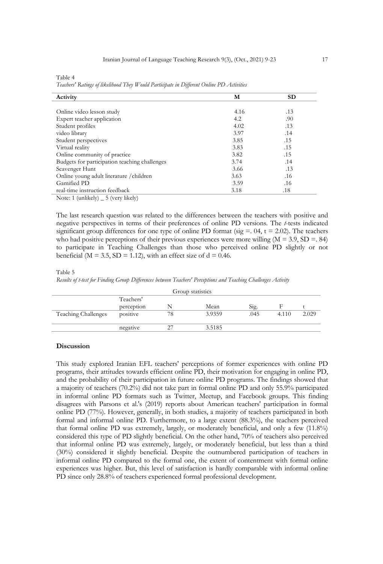| Ξ |  |
|---|--|
|   |  |
|   |  |

| able. |  |
|-------|--|
|-------|--|

*Teachers' Ratings of likelihood They Would Participate in Different Online PD Activities*

| Activity                                      | м    | <b>SD</b> |
|-----------------------------------------------|------|-----------|
|                                               |      |           |
| Online video lesson study                     | 4.16 | .13       |
| Expert teacher application                    | 4.2  | .90       |
| Student profiles                              | 4.02 | .13       |
| video library                                 | 3.97 | .14       |
| Student perspectives                          | 3.85 | .15       |
| Virtual reality                               | 3.83 | .15       |
| Online community of practice                  | 3.82 | .15       |
| Budgets for participation teaching challenges | 3.74 | .14       |
| Scavenger Hunt                                | 3.66 | .13       |
| Online young adult literature / children      | 3.63 | .16       |
| Gamified PD                                   | 3.59 | .16       |
| real-time instruction feedback                | 3.18 | .18       |
| Note: 1 (unlikely) $\_ 5$ (very likely)       |      |           |

The last research question was related to the differences between the teachers with positive and negative perspectives in terms of their preferences of online PD versions. The *t*-tests indicated significant group differences for one type of online PD format (sig  $=$  0.4, t  $=$  2.02). The teachers who had positive perceptions of their previous experiences were more willing  $(M = 3.9, SD = .84)$ to participate in Teaching Challenges than those who perceived online PD slightly or not beneficial ( $M = 3.5$ ,  $SD = 1.12$ ), with an effect size of  $d = 0.46$ .

#### Table 5

*Results of t-test for Finding Group Differences between Teachers' Perceptions and Teaching Challenges Activity* 

|                     |            |    | Group statistics |      |       |       |
|---------------------|------------|----|------------------|------|-------|-------|
|                     | Teachers'  |    |                  |      |       |       |
|                     | perception |    | Mean             | Sig. |       |       |
| Teaching Challenges | positive   | 78 | 3.9359           | .045 | 4.110 | 2.029 |
|                     | negative   |    | 3.5185           |      |       |       |

#### **Discussion**

This study explored Iranian EFL teachers' perceptions of former experiences with online PD programs, their attitudes towards efficient online PD, their motivation for engaging in online PD, and the probability of their participation in future online PD programs. The findings showed that a majority of teachers (70.2%) did not take part in formal online PD and only 55.9% participated in informal online PD formats such as Twitter, Meetup, and Facebook groups. This finding disagrees with Parsons et al.'s (2019) reports about American teachers' participation in formal online PD (77%). However, generally, in both studies, a majority of teachers participated in both formal and informal online PD. Furthermore, to a large extent (88.3%), the teachers perceived that formal online PD was extremely, largely, or moderately beneficial, and only a few (11.8%) considered this type of PD slightly beneficial. On the other hand, 70% of teachers also perceived that informal online PD was extremely, largely, or moderately beneficial, but less than a third (30%) considered it slightly beneficial. Despite the outnumbered participation of teachers in informal online PD compared to the formal one, the extent of contentment with formal online experiences was higher. But, this level of satisfaction is hardly comparable with informal online PD since only 28.8% of teachers experienced formal professional development.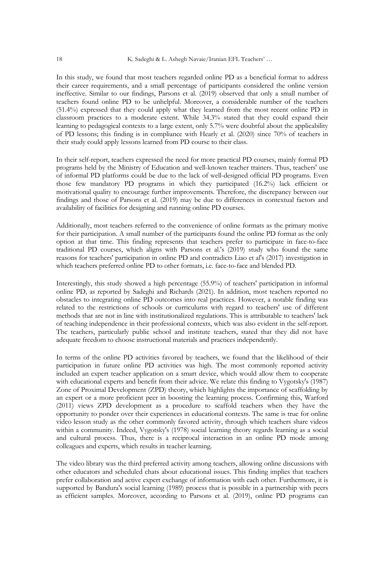In this study, we found that most teachers regarded online PD as a beneficial format to address their career requirements, and a small percentage of participants considered the online version ineffective. Similar to our findings, Parsons et al. (2019) observed that only a small number of teachers found online PD to be unhelpful. Moreover, a considerable number of the teachers (51.4%) expressed that they could apply what they learned from the most recent online PD in classroom practices to a moderate extent. While 34.3% stated that they could expand their learning to pedagogical contexts to a large extent, only 5.7% were doubtful about the applicability of PD lessons; this finding is in compliance with Hearly et al. (2020) since 70% of teachers in their study could apply lessons learned from PD course to their class.

In their self-report, teachers expressed the need for more practical PD courses, mainly formal PD programs held by the Ministry of Education and well-known teacher trainers. Thus, teachers' use of informal PD platforms could be due to the lack of well-designed official PD programs. Even those few mandatory PD programs in which they participated (16.2%) lack efficient or motivational quality to encourage further improvements. Therefore, the discrepancy between our findings and those of Parsons et al. (2019) may be due to differences in contextual factors and availability of facilities for designing and running online PD courses.

Additionally, most teachers referred to the convenience of online formats as the primary motive for their participation. A small number of the participants found the online PD format as the only option at that time. This finding represents that teachers prefer to participate in face-to-face traditional PD courses, which aligns with Parsons et al.'s (2019) study who found the same reasons for teachers' participation in online PD and contradicts Liao et al's (2017) investigation in which teachers preferred online PD to other formats, i.e. face-to-face and blended PD.

Interestingly, this study showed a high percentage (55.9%) of teachers' participation in informal online PD, as reported by Sadeghi and Richards (2021). In addition, most teachers reported no obstacles to integrating online PD outcomes into real practices. However, a notable finding was related to the restrictions of schools or curriculums with regard to teachers' use of different methods that are not in line with institutionalized regulations. This is attributable to teachers' lack of teaching independence in their professional contexts, which was also evident in the self-report. The teachers, particularly public school and institute teachers, stated that they did not have adequate freedom to choose instructional materials and practices independently.

In terms of the online PD activities favored by teachers, we found that the likelihood of their participation in future online PD activities was high. The most commonly reported activity included an expert teacher application on a smart device, which would allow them to cooperate with educational experts and benefit from their advice. We relate this finding to Vygotsky's (1987) Zone of Proximal Development (ZPD) theory, which highlights the importance of scaffolding by an expert or a more proficient peer in boosting the learning process. Confirming this, Warford (2011) views ZPD development as a procedure to scaffold teachers when they have the opportunity to ponder over their experiences in educational contexts. The same is true for online video lesson study as the other commonly favored activity, through which teachers share videos within a community. Indeed, Vygotsky's (1978) social learning theory regards learning as a social and cultural process. Thus, there is a reciprocal interaction in an online PD mode among colleagues and experts, which results in teacher learning.

The video library was the third preferred activity among teachers, allowing online discussions with other educators and scheduled chats about educational issues. This finding implies that teachers prefer collaboration and active expert exchange of information with each other. Furthermore, it is supported by Bandura's social learning (1989) process that is possible in a partnership with peers as efficient samples. Moreover, according to Parsons et al. (2019), online PD programs can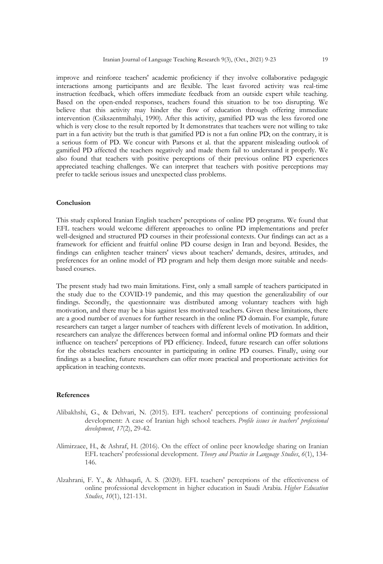improve and reinforce teachers' academic proficiency if they involve collaborative pedagogic interactions among participants and are flexible. The least favored activity was real-time instruction feedback, which offers immediate feedback from an outside expert while teaching. Based on the open-ended responses, teachers found this situation to be too disrupting. We believe that this activity may hinder the flow of education through offering immediate intervention (Csikszentmihalyi, 1990). After this activity, gamified PD was the less favored one which is very close to the result reported by It demonstrates that teachers were not willing to take part in a fun activity but the truth is that gamified PD is not a fun online PD; on the contrary, it is a serious form of PD. We concur with Parsons et al. that the apparent misleading outlook of gamified PD affected the teachers negatively and made them fail to understand it properly. We also found that teachers with positive perceptions of their previous online PD experiences appreciated teaching challenges. We can interpret that teachers with positive perceptions may prefer to tackle serious issues and unexpected class problems.

#### **Conclusion**

This study explored Iranian English teachers' perceptions of online PD programs. We found that EFL teachers would welcome different approaches to online PD implementations and prefer well-designed and structured PD courses in their professional contexts. Our findings can act as a framework for efficient and fruitful online PD course design in Iran and beyond. Besides, the findings can enlighten teacher trainers' views about teachers' demands, desires, attitudes, and preferences for an online model of PD program and help them design more suitable and needsbased courses.

The present study had two main limitations. First, only a small sample of teachers participated in the study due to the COVID-19 pandemic, and this may question the generalizability of our findings. Secondly, the questionnaire was distributed among voluntary teachers with high motivation, and there may be a bias against less motivated teachers. Given these limitations, there are a good number of avenues for further research in the online PD domain. For example, future researchers can target a larger number of teachers with different levels of motivation. In addition, researchers can analyze the differences between formal and informal online PD formats and their influence on teachers' perceptions of PD efficiency. Indeed, future research can offer solutions for the obstacles teachers encounter in participating in online PD courses. Finally, using our findings as a baseline, future researchers can offer more practical and proportionate activities for application in teaching contexts.

# **References**

- Alibakhshi, G., & Dehvari, N. (2015). EFL teachers' perceptions of continuing professional development: A case of Iranian high school teachers. *Profile issues in teachers' professional development*, *17*(2), 29-42.
- Alimirzaee, H., & Ashraf, H. (2016). On the effect of online peer knowledge sharing on Iranian EFL teachers' professional development. *Theory and Practice in Language Studies*, *6*(1), 134- 146.
- Alzahrani, F. Y., & Althaqafi, A. S. (2020). EFL teachers' perceptions of the effectiveness of online professional development in higher education in Saudi Arabia. *Higher Education Studies*, *10*(1), 121-131.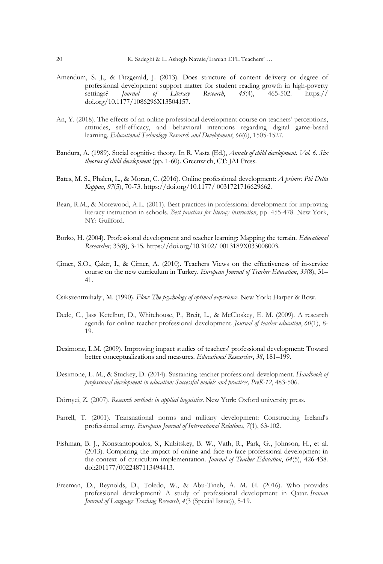- Amendum, S. J., & Fitzgerald, J. (2013). Does structure of content delivery or degree of professional development support matter for student reading growth in high-poverty<br>settings? Journal of Literacy Research, 45(4), 465-502. https:// settings? *Journal of Literacy Research*, *45*(4), 465-502. https:// doi.org/10.1177/1086296X13504157.
- An, Y. (2018). The effects of an online professional development course on teachers' perceptions, attitudes, self-efficacy, and behavioral intentions regarding digital game-based learning. *Educational Technology Research and Development*, *66*(6), 1505-1527.
- Bandura, A. (1989). Social cognitive theory. In R. Vasta (Ed.), *Annals of child development. Vol. 6. Six theories of child development* (pp. 1-60). Greenwich, CT: JAI Press.
- Bates, M. S., Phalen, L., & Moran, C. (2016). Online professional development: *A primer. Phi Delta Kappan*, *97*(5), 70-73. https://doi.org/10.1177/ 0031721716629662.
- Bean, R.M., & Morewood, A.L. (2011). Best practices in professional development for improving literacy instruction in schools. *Best practices for literacy instruction*, pp. 455-478. New York, NY: Guilford.
- Borko, H. (2004). Professional development and teacher learning: Mapping the terrain. *Educational Researcher*, 33(8), 3-15. https://doi.org/10.3102/ 0013189X033008003.
- Çimer, S.O., Çakır, I., & Çimer, A. (2010). Teachers Views on the effectiveness of in-service course on the new curriculum in Turkey. *European Journal of Teacher Education*, *33*(8), 31– 41.
- Csikszentmihalyi, M. (1990). *Flow: The psychology of optimal experience*. New York: Harper & Row.
- Dede, C., Jass Ketelhut, D., Whitehouse, P., Breit, L., & McCloskey, E. M. (2009). A research agenda for online teacher professional development. *Journal of teacher education*, *60*(1), 8- 19.
- Desimone, L.M. (2009). Improving impact studies of teachers' professional development: Toward better conceptualizations and measures. *Educational Researcher*, *38*, 181–199.
- Desimone, L. M., & Stuckey, D. (2014). Sustaining teacher professional development. *Handbook of professional development in education: Successful models and practices, PreK-12*, 483-506.
- Dörnyei, Z. (2007). *Research methods in applied linguistics*. New York: Oxford university press.
- Farrell, T. (2001). Transnational norms and military development: Constructing Ireland's professional army. *European Journal of International Relations*, *7*(1), 63-102.
- Fishman, B. J., Konstantopoulos, S., Kubitskey, B. W., Vath, R., Park, G., Johnson, H., et al. (2013). Comparing the impact of online and face-to-face professional development in the context of curriculum implementation. *Journal of Teacher Education*, *64*(5), 426-438. doi:201177/0022487113494413.
- Freeman, D., Reynolds, D., Toledo, W., & Abu-Tineh, A. M. H. (2016). Who provides professional development? A study of professional development in Qatar. *Iranian Journal of Language Teaching Research*, *4*(3 (Special Issue)), 5-19.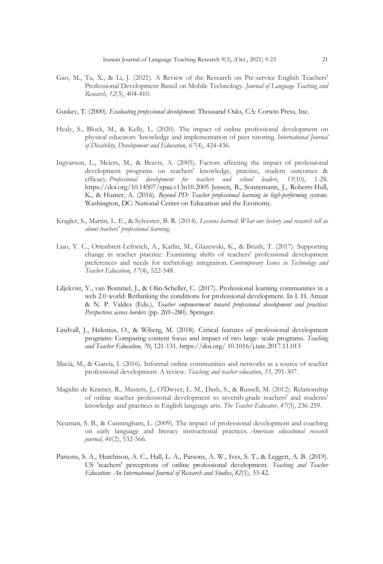- Gao, M., Tu, X., & Li, J. (2021). A Review of the Research on Pre-service English Teachers' Professional Development Based on Mobile Technology. *Journal of Language Teaching and Research*, *12*(3), 404-410.
- Guskey, T. (2000). *Evaluating professional development*. Thousand Oaks, CA: Corwin Press, Inc.
- Healy, S., Block, M., & Kelly, L. (2020). The impact of online professional development on physical educators 'knowledge and implementation of peer tutoring. *International Journal of Disability, Development and Education*, *67*(4), 424-436.
- Ingvarson, L., Meiers, M., & Beavis, A. (2005). Factors affecting the impact of professional development programs on teachers' knowledge, practice, student outcomes & efficacy. *Professional development for teachers and school leaders*, *13*(10), 1-28. https://doi.org/10.14507/epaa.v13n10.2005 Jensen, B., Sonnemann, J., Roberts-Hull, K., & Hunter, A. (2016). *Beyond PD: Teacher professional learning in high-performing systems*. Washington, DC: National Center on Education and the Economy.
- Kragler, S., Martin, L. E., & Sylvester, B. R. (2014). *Lessons learned: What our history and research tell us about teachers' professional learning*.
- Liao, Y. C., Ottenbreit-Leftwich, A., Karlin, M., Glazewski, K., & Brush, T. (2017). Supporting change in teacher practice: Examining shifts of teachers' professional development preferences and needs for technology integration. *Contemporary Issues in Technology and Teacher Education*, *17*(4), 522-548.
- Liljekvist, Y., van Bommel, J., & Olin-Scheller, C. (2017). Professional learning communities in a web 2.0 world: Rethinking the conditions for professional development. In I. H. Amzat & N. P. Valdez (Eds.), *Teacher empowerment toward professional development and practices: Perspectives across borders* (pp. 269–280). Springer.
- Lindvall, J., Helenius, O., & Wiberg, M. (2018). Critical features of professional development programs: Comparing content focus and impact of two large- scale programs. *Teaching and Teacher Education, 70*, 121-131. https://doi.org/ 10.1016/j.tate.2017.11.013
- Macià, M., & García, I. (2016). Informal online communities and networks as a source of teacher professional development: A review. *Teaching and teacher education*, *55*, 291-307.
- Magidin de Kramer, R., Masters, J., O'Dwyer, L. M., Dash, S., & Russell, M. (2012). Relationship of online teacher professional development to seventh-grade teachers' and students' knowledge and practices in English language arts. *The Teacher Educator*, *47*(3), 236-259.
- Neuman, S. B., & Cunningham, L. (2009). The impact of professional development and coaching on early language and literacy instructional practices. *American educational research journal*, *46*(2), 532-566.
- Parsons, S. A., Hutchison, A. C., Hall, L. A., Parsons, A. W., Ives, S. T., & Leggett, A. B. (2019). US 'teachers' perceptions of online professional development. *Teaching and Teacher Education: An International Journal of Research and Studies*, *82*(1), 33-42.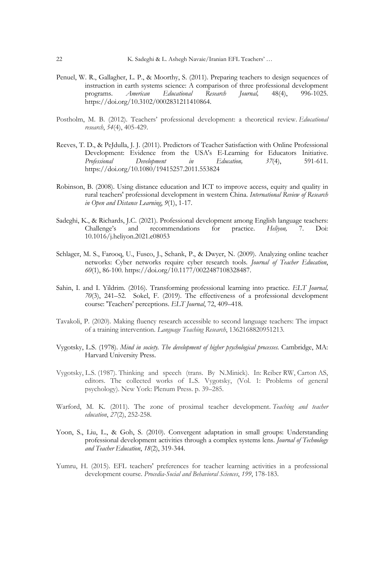- Penuel, W. R., Gallagher, L. P., & Moorthy, S. (2011). Preparing teachers to design sequences of instruction in earth systems science: A comparison of three professional development<br>programs. American Educational Research Journal, 48(4), 996-1025. programs. *American Educational Research Journal,* 48(4), 996-1025. https://doi.org/10.3102/0002831211410864.
- Postholm, M. B. (2012). Teachers' professional development: a theoretical review. *Educational research*, *54*(4), 405-429.
- Reeves, T. D., & PeJdulla, J. J. (2011). Predictors of Teacher Satisfaction with Online Professional Development: Evidence from the USA's E-Learning for Educators Initiative. *Professional Development in Education, 37*(4), 591-611. https://doi.org/10.1080/19415257.2011.553824
- Robinson, B. (2008). Using distance education and ICT to improve access, equity and quality in rural teachers' professional development in western China. *International Review of Research in Open and Distance Learning*, *9*(1), 1-17.
- Sadeghi, K., & Richards, J.C. (2021). Professional development among English language teachers: Challenge's and recommendations for practice. *Heliyon,* 7. Doi: 10.1016/j.heliyon.2021.e08053
- Schlager, M. S., Farooq, U., Fusco, J., Schank, P., & Dwyer, N. (2009). Analyzing online teacher networks: Cyber networks require cyber research tools. *Journal of Teacher Education*, *60*(1), 86-100. https://doi.org/10.1177/0022487108328487.
- Sahin, I. and I. Yildrim. (2016). Transforming professional learning into practice. *ELT Journal, 70*(3), 241–52. Sokel, F. (2019). The effectiveness of a professional development course: 'Teachers' perceptions. *ELT Journal*, 72, 409–418.
- Tavakoli, P. (2020). Making fluency research accessible to second language teachers: The impact of a training intervention. *Language Teaching Research*, 1362168820951213.
- Vygotsky, L.S. (1978). *Mind in society. The development of higher psychological processes.* Cambridge, MA: Harvard University Press.
- Vygotsky, L.S. (1987). Thinking and speech (trans. By N.Minick). In: Reiber RW, Carton AS, editors. The collected works of L.S. Vygotsky, (Vol. 1: Problems of general psychology). New York: Plenum Press. p. 39–285.
- Warford, M. K. (2011). The zone of proximal teacher development. *Teaching and teacher education*, *27*(2), 252-258.
- Yoon, S., Liu, L., & Goh, S. (2010). Convergent adaptation in small groups: Understanding professional development activities through a complex systems lens. *Journal of Technology and Teacher Education*, *18*(2), 319-344.
- Yumru, H. (2015). EFL teachers' preferences for teacher learning activities in a professional development course. *Procedia-Social and Behavioral Sciences*, *199*, 178-183.